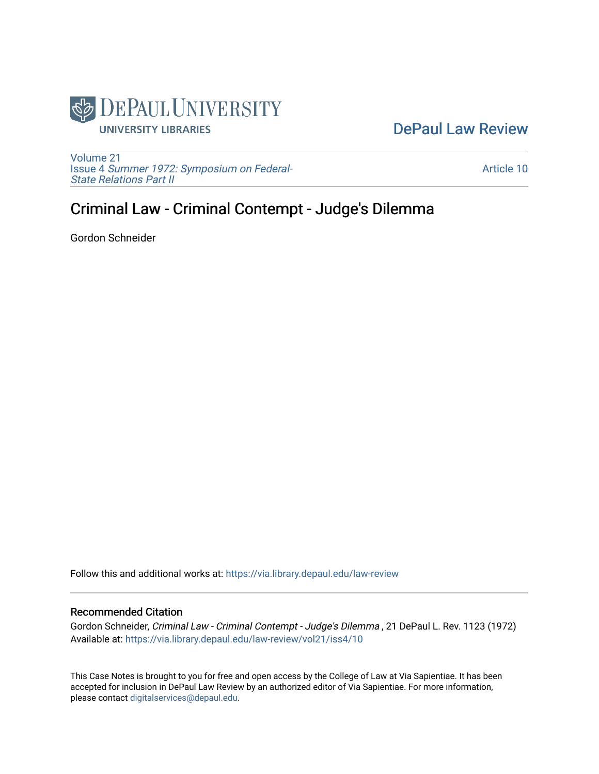

## [DePaul Law Review](https://via.library.depaul.edu/law-review)

[Volume 21](https://via.library.depaul.edu/law-review/vol21) Issue 4 [Summer 1972: Symposium on Federal-](https://via.library.depaul.edu/law-review/vol21/iss4)[State Relations Part II](https://via.library.depaul.edu/law-review/vol21/iss4) 

[Article 10](https://via.library.depaul.edu/law-review/vol21/iss4/10) 

## Criminal Law - Criminal Contempt - Judge's Dilemma

Gordon Schneider

Follow this and additional works at: [https://via.library.depaul.edu/law-review](https://via.library.depaul.edu/law-review?utm_source=via.library.depaul.edu%2Flaw-review%2Fvol21%2Fiss4%2F10&utm_medium=PDF&utm_campaign=PDFCoverPages) 

## Recommended Citation

Gordon Schneider, Criminal Law - Criminal Contempt - Judge's Dilemma , 21 DePaul L. Rev. 1123 (1972) Available at: [https://via.library.depaul.edu/law-review/vol21/iss4/10](https://via.library.depaul.edu/law-review/vol21/iss4/10?utm_source=via.library.depaul.edu%2Flaw-review%2Fvol21%2Fiss4%2F10&utm_medium=PDF&utm_campaign=PDFCoverPages)

This Case Notes is brought to you for free and open access by the College of Law at Via Sapientiae. It has been accepted for inclusion in DePaul Law Review by an authorized editor of Via Sapientiae. For more information, please contact [digitalservices@depaul.edu.](mailto:digitalservices@depaul.edu)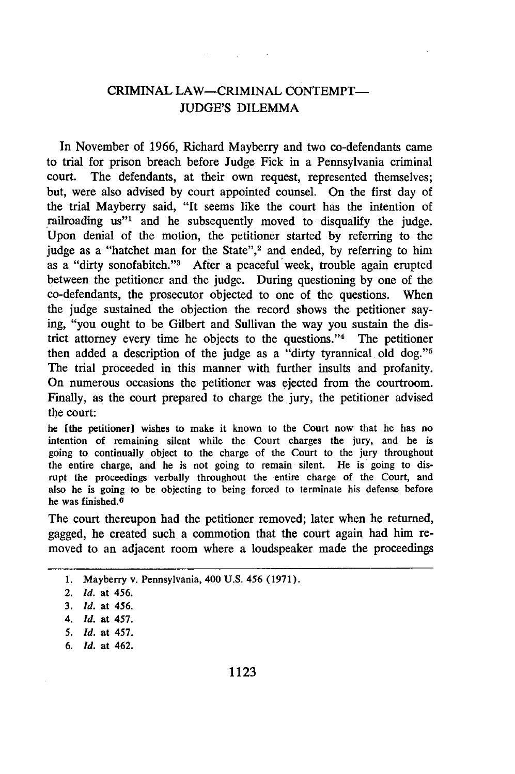## **CRIMINAL LAW-CRIMINAL CONTEMPT-**JUDGE'S DILEMMA

the company of the company

In November of 1966, Richard Mayberry and two co-defendants came to trial for prison breach before Judge Fick in a Pennsylvania criminal court. The defendants, at their own request, represented themselves; but, were also advised by court appointed counsel. On the first day of the trial Mayberry said, "It seems like the court has the intention of railroading us"<sup>1</sup> and he subsequently moved to disqualify the judge. Upon denial of the motion, the petitioner started by referring to the judge as a "hatchet man for the State",<sup>2</sup> and ended, by referring to him as a "dirty sonofabitch."<sup>3</sup> After a peaceful week, trouble again erupted between the petitioner and the judge. During questioning by one of the co-defendants, the prosecutor objected to one of the questions. When the judge sustained the objection the record shows the petitioner saying, "you ought to be Gilbert and Sullivan the way you sustain the district attorney every time he objects to the questions."<sup>4</sup> The petitioner then added a description of the judge as a "dirty tyrannical old dog."<sup>5</sup> The trial proceeded in this manner with further insults and profanity. On numerous occasions the petitioner was ejected from the courtroom. Finally, as the court prepared to charge the jury, the petitioner advised the court:

he [the petitioner] wishes to make it known to the Court now that he has no intention of remaining silent while the Court charges the jury, and he is going to continually object to the charge of the Court to the jury throughout the entire charge, and he is not going to remain silent. He is going to disrupt the proceedings verbally throughout the entire charge of the Court, and also he is going to be objecting to being forced to terminate his defense before he was finished.<sup>6</sup>

The court thereupon had the petitioner removed; later when he returned, gagged, he created such a commotion that the court again had him removed to an adjacent room where a loudspeaker made the proceedings

*6. Id.* at 462.

<sup>1.</sup> Mayberry v. Pennsylvania, 400 U.S. 456 (1971).

<sup>2.</sup> *Id.* at 456.

<sup>3.</sup> *Id.* at 456.

*<sup>4.</sup> Id.* at 457.

*<sup>5.</sup> id.* at 457.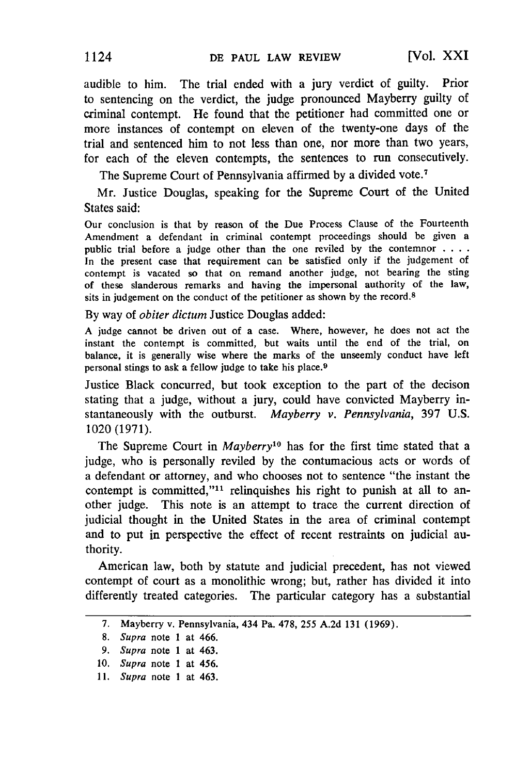audible to him. The trial ended with a jury verdict of guilty. Prior to sentencing on the verdict, the judge pronounced Mayberry guilty of criminal contempt. He found that the petitioner had committed one or more instances of contempt on eleven of the twenty-one days of the trial and sentenced him to not less than one, nor more than two years, for each of the eleven contempts, the sentences to run consecutively.

The Supreme Court of Pennsylvania affirmed by a divided vote.<sup>7</sup>

Mr. Justice Douglas, speaking for the Supreme Court of the United States said:

Our conclusion is that by reason of the Due Process Clause of the Fourteenth Amendment a defendant in criminal contempt proceedings should be given a public trial before a judge other than the one reviled by the contemnor **....** In the present case that requirement can be satisfied only if the judgement of contempt is vacated so that on remand another judge, not bearing the sting of these slanderous remarks and having the impersonal authority of the law, sits in judgement on the conduct of the petitioner as shown by the record.<sup>8</sup>

By way of *obiter dictum* Justice Douglas added:

A judge cannot be driven out of a case. Where, however, he does not act the instant the contempt is committed, but waits until the end of the trial, on balance, it is generally wise where the marks of the unseemly conduct have left personal stings to ask a fellow judge to take his place. <sup>9</sup>

Justice Black concurred, but took exception to the part of the decison stating that a judge, without a jury, could have convicted Mayberry instantaneously with the outburst. *Mayberry v. Pennsylvania,* **397** U.S. 1020 (1971).

The Supreme Court in *Mayberry1°* has for the first time stated that a judge, who is personally reviled **by** the contumacious acts or words of a defendant or attorney, and who chooses not to sentence "the instant the contempt is committed,"<sup>11</sup> relinquishes his right to punish at all to another judge. This note is an attempt to trace the current direction of judicial thought in the United States in the area of criminal contempt and to put in perspective the effect of recent restraints on judicial authority.

American law, both **by** statute and judicial precedent, has not viewed contempt of court as a monolithic wrong; but, rather has divided it into differently treated categories. The particular category has a substantial

**<sup>7.</sup>** Mayberry v. Pennsylvania, 434 Pa. **478, 255** A.2d 131 (1969).

**<sup>8.</sup>** *Supra* note **1** at 466.

<sup>9.</sup> *Supra* note **1** at 463.

**<sup>10.</sup>** *Supra* note **1** at **456.**

**<sup>11.</sup>** *Supra* note **1** at 463.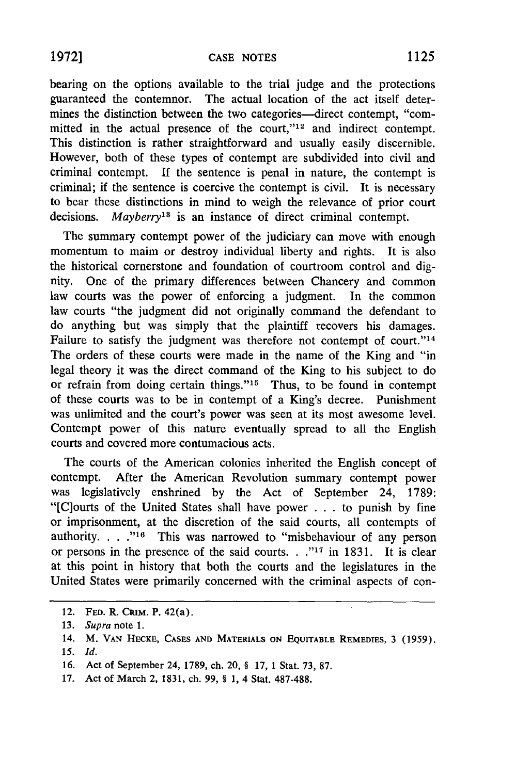bearing on the options available to the trial judge and the protections guaranteed the contemnor. The actual location of the act itself determines the distinction between the two categories--direct contempt, "committed in the actual presence of the court,"<sup>12</sup> and indirect contempt. This distinction is rather straightforward and usually easily discernible. However, both of these types of contempt are subdivided into civil and criminal contempt. **If** the sentence is penal in nature, the contempt is criminal; if the sentence is coercive the contempt is civil. It is necessary to bear these distinctions in mind to weigh the relevance of prior court decisions. *Mayberry13* is an instance of direct criminal contempt.

The summary contempt power of the judiciary can move with enough momentum to maim or destroy individual liberty and rights. It is also the historical cornerstone and foundation of courtroom control and dignity. One of the primary differences between Chancery and common law courts was the power of enforcing a judgment. In the common law courts "the judgment did not originally command the defendant to do anything but was simply that the plaintiff recovers his damages. Failure to satisfy the judgment was therefore not contempt of court."<sup>14</sup> The orders of these courts were made in the name of the King and "in legal theory it was the direct command of the King to his subject to do or refrain from doing certain things."<sup>15</sup> Thus, to be found in contempt of these courts was to be in contempt of a King's decree. Punishment was unlimited and the court's power was seen at its most awesome level. Contempt power of this nature eventually spread to all the English courts and covered more contumacious acts.

The courts of the American colonies inherited the English concept of contempt. After the American Revolution summary contempt power was legislatively enshrined by the Act of September 24, 1789: "[C]ourts of the United States shall have power .. . to punish by fine or imprisonment, at the discretion of the said courts, all contempts of authority. . . ."<sup>16</sup> This was narrowed to "misbehaviour of any person or persons in the presence of the said courts. **. .,17** in 1831. It is clear at this point in history that both the courts and the legislatures in the United States were primarily concerned with the criminal aspects of con-

<sup>12.</sup> **FED.** R. CRIM. P. 42(a).

**<sup>13.</sup>** *Supra* note 1.

**<sup>14.</sup>** M. **VAN HECKE, CASES AND MATERIALS ON EQUITABLE REMEDIES, 3 (1959).**

**<sup>15.</sup>** *Id.*

**<sup>16.</sup>** Act of September 24, **1789,** ch. 20, **§ 17, 1 Stat. 73, 87.**

**<sup>17.</sup>** Act of March 2, **1831,** ch. **99,** § **1,** 4 Stat. **487-488.**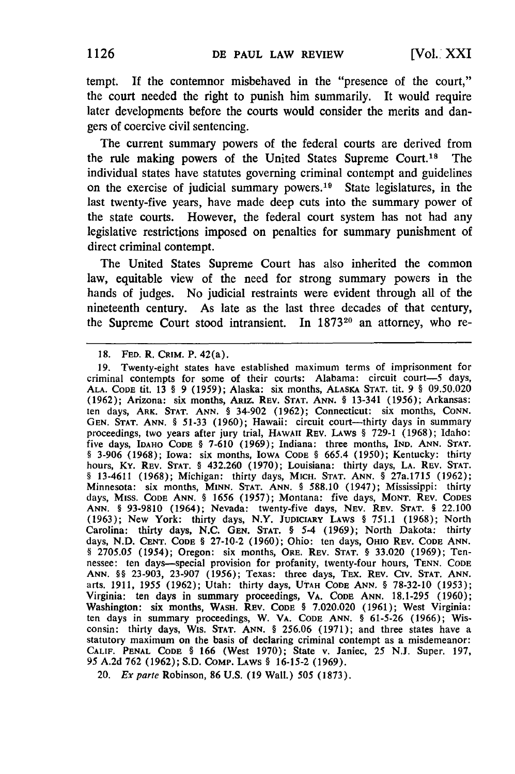tempt. **If** the contemnor misbehaved in the "presence of the court," the court needed the right to punish him summarily. It would require later developments before the courts would consider the merits and dan**gers** of coercive civil sentencing.

The current summary powers of the federal courts are derived from the rule making powers of the United States Supreme Court.<sup>18</sup> The individual states have statutes governing criminal contempt and guidelines on the exercise of judicial summary powers. 19 State legislatures, in the last twenty-five years, have made deep cuts into the summary power of the state courts. However, the federal court system has not had any legislative restrictions imposed on penalties for summary punishment of direct criminal contempt.

The United States Supreme Court has also inherited the common law, equitable view of the need for strong summary powers in the hands of judges. No judicial restraints were evident through all of the nineteenth century. As late as the last three decades of that century, the Supreme Court stood intransient. In 1873<sup>20</sup> an attorney, who re-

**<sup>18.</sup> FED.** R. **CRIM.** P. 42(a).

**<sup>19.</sup>** Twenty-eight states have established maximum terms of imprisonment for criminal contempts for some of their courts: Alabama: circuit court-5 days, **ALA. CODE** tit. **13 § 9 (1959);** Alaska: six months, **ALASKA STAT. tit. 9** § **09.50.020 (1962);** Arizona: six months, ARiz. **REV. STAT. ANN.** § 13-341 **(1956);** Arkansas: ten days, **ARK. STAT. ANN.** § 34-902 **(1962);** Connecticut: six months, **CONN.** GEN. STAT. ANN. § 51-33 (1960); Hawaii: circuit court-thirty days in summary proceedings, two years after jury trial, **HAWAII REV.** LAWS § **729-1 (1968);** Idaho: five days, **IDAHO CODE** § **7-610 (1969);** Indiana: three months, **IND. ANN. STAT.** § **3-906 (1968);** Iowa: six months, IOWA **CODE** § **665.4 (1950);** Kentucky: thirty hours, Ky. REv. **STAT.** § 432.260 **(1970);** Louisiana: thirty days, **LA. REV. STAT.** § 13-4611 **(1968);** Michigan: thirty days, MICH. **STAT. ANN.** § 27a.1715 **(1962);** Minnesota: six months, **MINN. STAT. ANN.** § **588.10** (1947); Mississippi: thirty days, **MISS. CODE ANN.** § **1656 (1957);** Montana: five days, **MONT. REV. CODES ANN.** § **93-9810** (1964); Nevada: twenty-five days, NEV. **REV. STAT. §** 22.100 **(1963);** New York: thirty days, N.Y. **JUDICIARY LAWS** § **751.1 (1968);** North Carolina: thirty days, **N.C. GEN. STAT.** § 5-4 **(1969);** North Dakota: thirty days, **N.D. CENT. CODE** § **27-10-2 (1960);** Ohio: ten days, OHIO REV. **CODE ANN.** § **2705.05** (1954); Oregon: six months, **ORE. REV. STAT.** § **33.020 (1969);** Tennessee: ten days-special provision for profanity, twenty-four hours, **TENN. CODE ANN.** §§ **23-903, 23-907 (1956);** Texas: three days, TEx. **REV. CIv. STAT. ANN.** arts. **1911, 1955 (1962);** Utah: thirty days, **UTAH CODE ANN.** § **78-32-10 (1953);** Virginia: ten days in summary proceedings, VA. CODE **ANN. 18.1-295 (1960);** Washington: six months, WASH. REV. Code § 7.020.020 (1961); West Virginia ten days in summary proceedings, W. VA. **CODE ANN.** § **61-5-26 (1966);** Wisconsin: thirty days, WIs. **STAT. ANN.** § **256.06 (1971);** and three states have a statutory maximum on the basis of declaring criminal contempt as a misdemeanor: **CALIF. PENAL CODE** § **166** (West **1970);** State v. Janiec, **25** N.J. Super. **197, 95 A.2d 762 (1962); S.D. COMp. LAWS** § **16-15-2 (1969).**

<sup>20.</sup> *Ex* parte Robinson, **86 U.S. (19** Wall.) **505 (1873).**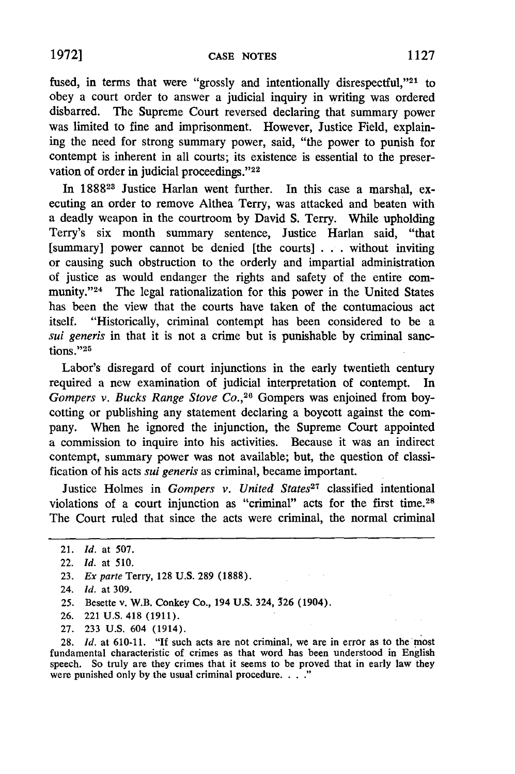fused, in terms that were "grossly and intentionally disrespectful," $21$  to obey a court order to answer a judicial inquiry in writing was ordered disbarred. The Supreme Court reversed declaring that summary power was limited to fine and imprisonment. However, Justice Field, explaining the need for strong summary power, said, "the power to punish for contempt is inherent in all courts; its existence is essential to the preservation of order in judicial proceedings."22

In 188828 Justice Harlan went further. In this case a marshal, executing an order to remove Althea Terry, was attacked and beaten with a deadly weapon in the courtroom by David S. Terry. While upholding Terry's six month summary sentence, Justice Harlan said, "that [summary] power cannot be denied [the courts] . . . without inviting or causing such obstruction to the orderly and impartial administration of justice as would endanger the rights and safety of the entire community."<sup>24</sup> The legal rationalization for this power in the United States has been the view that the courts have taken of the contumacious act itself. "Historically, criminal contempt has been considered to be a *sui generis* in that it is not a crime but is punishable by criminal sanctions."25

Labor's disregard of court injunctions in the early twentieth century required a new examination of judicial interpretation of contempt. In *Gompers v. Bucks Range Stove Co.,26* Gompers was enjoined from boycotting or publishing any statement declaring a boycott against the company. When he ignored the injunction, the Supreme Court appointed a commission to inquire into his activities. Because it was an indirect contempt, summary power was not available; but, the question of classification of his acts *sui generis* as criminal, became important.

Justice Holmes in *Gompers v. United States27* classified intentional violations of a court injunction as "criminal" acts for the first time.28 The Court ruled that since the acts were criminal, the normal criminal

- 26. 221 U.S. 418 (1911).
- 27. 233 U.S. 604 (1914).

28. *Id.* at 610-11. **"If** such acts are not criminal, we are in error as to the most fundamental characteristic of crimes as that word has been understood in English speech. So truly are they crimes that it seems to be proved that in early law they were punished only by the usual criminal procedure. . . . "

<sup>21.</sup> *Id.* at 507.

<sup>22.</sup> *Id.* at 510.

<sup>23.</sup> *Ex parte* Terry, 128 U.S. 289 (1888).

<sup>24.</sup> *Id.* at 309.

**<sup>25.</sup>** Besette v. W.B. Conkey Co., 194 **U.S.** 324, 326 (1904).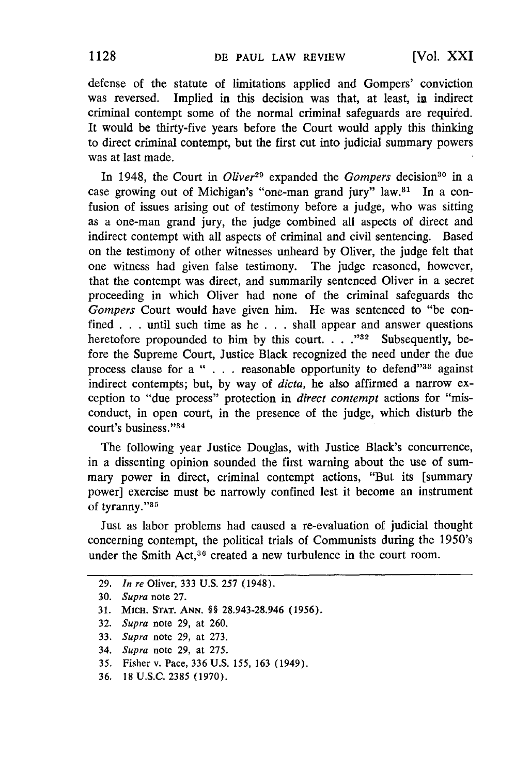defense of the statute of limitations applied and Gompers' conviction was reversed. Implied in this decision was that, at least, in indirect criminal contempt some of the normal criminal safeguards are requited. It would be thirty-five years before the Court would apply this thinking to direct criminal contempt, but the first cut into judicial summary powers was at last made.

In 1948, the Court in *Oliver*<sup>29</sup> expanded the *Gompers* decision<sup>30</sup> in a case growing out of Michigan's "one-man grand jury"  $law.^{31}$  In a confusion of issues arising out of testimony before a judge, who was sitting as a one-man grand jury, the judge combined all aspects of direct and indirect contempt with all aspects of criminal and civil sentencing. Based on the testimony of other witnesses unheard by Oliver, the judge felt that one witness had given false testimony. The judge reasoned, however, that the contempt was direct, and summarily sentenced Oliver in a secret proceeding in which Oliver had none of the criminal safeguards the *Gompers* Court would have given him. He was sentenced to "be confined . . . until such time as he . . **.** shall appear and answer questions heretofore propounded to him by this court. . . . "<sup>32</sup> Subsequently, before the Supreme Court, Justice Black recognized the need under the due process clause for a " . . . reasonable opportunity to defend"<sup>33</sup> against indirect contempts; but, by way of *dicta,* he also affirmed a narrow exception to "due process" protection in *direct contempt* actions for "misconduct, in open court, in the presence of the judge, which disturb the court's business."<sup>34</sup>

The following year Justice Douglas, with Justice Black's concurrence, in a dissenting opinion sounded the first warning about the use of summary power in direct, criminal contempt actions, "But its [summary power] exercise must be narrowly confined lest it become an instrument of tyranny."35

Just as labor problems had caused a re-evaluation of judicial thought concerning contempt, the political trials of Communists during the 1950's under the Smith Act,<sup>36</sup> created a new turbulence in the court room.

- **33.** *Supra* note 29, at 273.
- 34. *Supra* note 29, at 275.
- 35. Fisher v. Pace, 336 **U.S.** 155, 163 (1949).
- **36. 18 U.S.C. 2385 (1970).**

<sup>29.</sup> *In re* Oliver, 333 U.S. 257 (1948).

**<sup>30.</sup>** *Supra* note 27.

**<sup>31.</sup>** MicH. **STAT. ANN.** §§ **28.943-28.946 (1956).**

<sup>32.</sup> *Supra* note 29, at 260.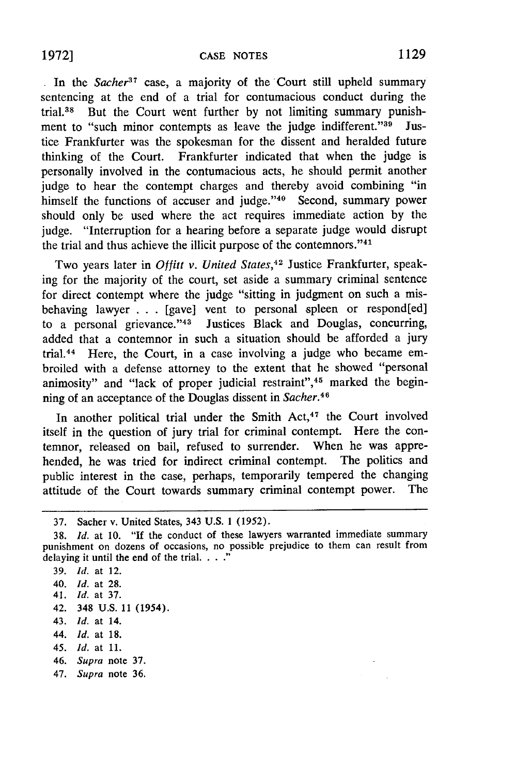In the *Sacher<sup>37</sup>* case, a majority of the Court still upheld summary sentencing at the end of a trial for contumacious conduct during the trial.38 But the Court went further by not limiting summary punishment to "such minor contempts as leave the judge indifferent."<sup>39</sup> Justice Frankfurter was the spokesman for the dissent and heralded future thinking of the Court. Frankfurter indicated that when the judge is personally involved in the contumacious acts, he should permit another judge to hear the contempt charges and thereby avoid combining "in himself the functions of accuser and judge." $40$  Second, summary power should only be used where the act requires immediate action by the judge. "Interruption for a hearing before a separate judge would disrupt the trial and thus achieve the illicit purpose of the contemnors."<sup>41</sup>

Two years later in *Offitt v. United States*,<sup>42</sup> Justice Frankfurter, speaking for the majority of the court, set aside a summary criminal sentence for direct contempt where the judge "sitting in judgment on such a misbehaving lawyer **. .** . [gave] vent to personal spleen or respond[ed] to a personal grievance."<sup>43</sup> Justices Black and Douglas, concurring, added that a contemnor in such a situation should be afforded a jury trial.44 Here, the Court, in a case involving a judge who became embroiled with a defense attorney to the extent that he showed "personal animosity" and "lack of proper judicial restraint",<sup>45</sup> marked the beginning of an acceptance of the Douglas dissent in *Sacher.4 <sup>6</sup>*

In another political trial under the Smith Act,<sup>47</sup> the Court involved itself in the question of jury trial for criminal contempt. Here the contemnor, released on bail, refused to surrender. When he was apprehended, he was tried for indirect criminal contempt. The politics and public interest in the case, perhaps, temporarily tempered the changing attitude of the Court towards summary criminal contempt power. The

- 42. 348 U.S. 11 (1954).
- 43. *Id.* at 14.
- 44. *Id.* at 18.
- 45. *Id.* at 11.
- 46. *Supra* note 37.
- 47. *Supra* note 36.

<sup>37.</sup> Sacher v. United States, 343 **U.S. 1** (1952).

<sup>38.</sup> *Id.* at **10.** "If the conduct of these lawyers warranted immediate summary punishment on dozens of occasions, no possible prejudice to them can result from delaying it until the end of the trial.

<sup>39.</sup> *Id.* at 12.

<sup>40.</sup> *Id.* at 28.

<sup>41.</sup> *Id.* **at 37.**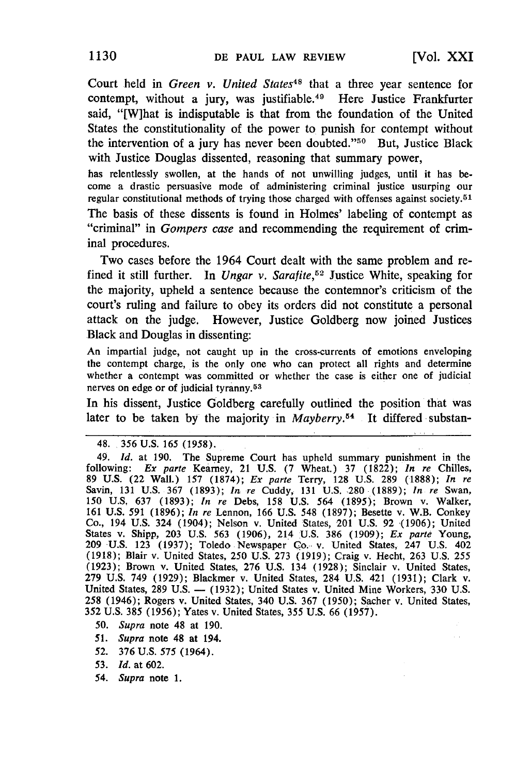Court held in *Green v. United States48* that a three year sentence for contempt, without a jury, was justifiable.<sup>49</sup> Here Justice Frankfurter said, "[W]hat is indisputable is that from the foundation of the United States the constitutionality of the power to punish for contempt without the intervention of a jury has never been doubted."50 But, Justice Black with Justice Douglas dissented, reasoning that summary power,

has relentlessly swollen, at the hands of not unwilling judges, until it has be come a drastic persuasive mode of administering criminal justice usurping our regular constitutional methods of trying those charged with offenses against society.<sup>51</sup> The basis of these dissents is found in Holmes' labeling of contempt as "criminal" in *Gompers case* and recommending the requirement of criminal procedures.

Two cases before the 1964 Court dealt with the same problem and refined it still further. In *Ungar v. Sarafite,5"2* Justice White, speaking for the majority, upheld a sentence because the contemnor's criticism of the court's ruling and failure to obey its orders did not constitute a personal attack on the judge. However, Justice Goldberg now joined Justices Black and Douglas in dissenting:

An impartial judge, not caught up in the cross-currents of emotions enveloping the contempt charge, is the only one who can protect all rights and determine whether a contempt was committed or whether the case is either one of judicial nerves on edge or of judicial tyranny. <sup>53</sup>

In his dissent, Justice Goldberg carefully outlined the position that was later to be taken by the majority in *Mayberry*.<sup>54</sup> It differed substan-

- 50. *Supra* note 48 at 190.
- *51. Supra* note 48 at 194.
- **52.** 376 U.S. 575 (1964).
- 53. *Id.* at 602.
- 54. *Supra* note 1.

<sup>48. 356</sup> U.S. 165 (1958).

<sup>49.</sup> *Id.* at 190. The Supreme Court has upheld summary punishment in the following: Ex *parte* Kearney, 21 U.S. (7 Wheat.) 37 (1822); *In re* Chilies, 89 U.S. (22 Wall.) 157 (1874); Ex parte Terry, 128 U.S. 289 (1888); *In re* Savin, 131 U.S. 367 (1893); *In re* Cuddy, 131 U.S. 280 (1889); *In re* Swan, 150 U.S. 637 (1893); In *re* Debs, 158 U.S. 564 (1895); Brown v. Walker, 161 U.S. 591 (1896); *In re* Lennon, 166 U.S. 548 (1897); Besette v. W.B. Conkey Co., 194 U.S. 324 (1904); Nelson v. United States, 201 U.S. 92 (1906); United States v. Shipp, 203 U.S. 563 (1906), 214 U.S. 386 (1909); *Ex* parte Young, **209** U.S. 123 (1937); Toledo Newspaper **Co.** v. United States, 247 U.S. 402 (1918); Blair v. United States, 250 U.S. 273 (1919); Craig v. Hecht, 263 U.S. 255 (1923); Brown v. United States, 276 U.S. 134 (1928); Sinclair v. United States, 279 U.S. 749 (1929); Blackmer v. United States, 284 U.S. 421 (1931); Clark v. United States, 289 U.S. - (1932); United States v. United Mine Workers, 330 U.S. United States, 289 U.S. — (1932); United States v. United Mine Workers, 330 U.S. 258 (1946); Rogers v. United States, 340 U.S. 367 (1950); Sacher v. United States, 352 U.S. 385 (1956); Yates v. United States, 355 U.S. 66 (1957).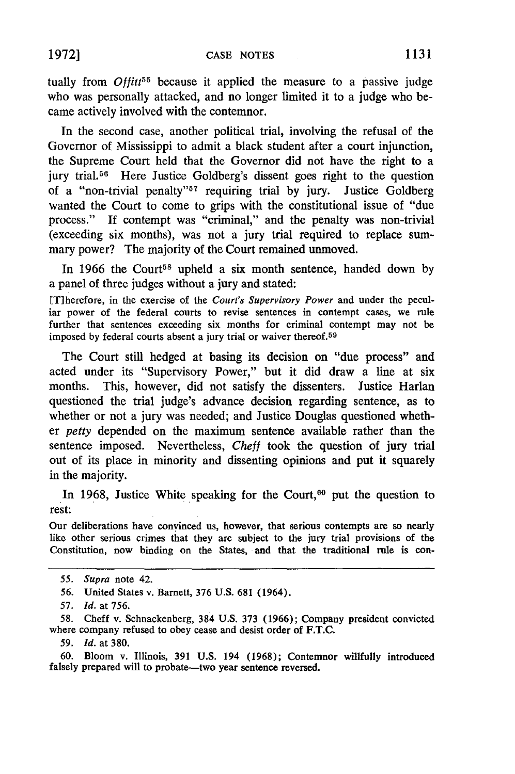tually from  $Of\int f(t^55)$  because it applied the measure to a passive judge who was personally attacked, and no longer limited it to a judge who became actively involved with the contemnor.

In the second case, another political trial, involving the refusal of the Governor of Mississippi to admit a black student after a court injunction, the Supreme Court held that the Governor did not have the right to a jury trial.<sup>56</sup> Here Justice Goldberg's dissent goes right to the question of a "non-trivial penalty"<sup>57</sup> requiring trial by jury. Justice Goldberg wanted the Court to come to grips with the constitutional issue of "due process." **If** contempt was "criminal," and the penalty was non-trivial (exceeding six months), was not a jury trial required to replace summary power? The majority of the Court remained unmoved.

In 1966 the Court<sup>58</sup> upheld a six month sentence, handed down by a panel of three judges without a jury and stated:

[T]herefore, in the exercise of the *Court's Supervisory Power* and under the peculiar power of the federal courts to revise sentences in contempt cases, we rule further that sentences exceeding six months for criminal contempt may not be imposed by federal courts absent a jury trial or waiver thereof.<sup>59</sup>

The Court still hedged at basing its decision on "due process" and acted under its "Supervisory Power," but it did draw a line at six months. This, however, did not satisfy the dissenters. Justice Harlan questioned the trial judge's advance decision regarding sentence, as to whether or not a jury was needed; and Justice Douglas questioned whether *petty* depended on the maximum sentence available rather than the sentence imposed. Nevertheless, *Cheff* took the question of jury trial out of its place in minority and dissenting opinions and put it squarely in the majority.

In 1968, Justice White speaking for the Court,<sup>60</sup> put the question to rest:

Our deliberations have convinced us, however, that serious contempts are so nearly like other serious crimes that they are subject to the jury trial provisions of the Constitution, now binding on the States, and that the traditional rule is con-

*<sup>55.</sup> Supra* note 42.

<sup>56.</sup> United States v. Barnett, 376 U.S. 681 (1964).

<sup>57.</sup> *Id.* at 756.

<sup>58.</sup> Cheff v. Schnackenberg, 384 U.S. 373 (1966); Company president convicted where company refused to obey cease and desist order of F.T.C.

*<sup>59.</sup> Id.* at 380.

<sup>60.</sup> Bloom v. Illinois, 391 U.S. 194 (1968); Contemnor willfully introduced falsely prepared will to probate—two year sentence reversed.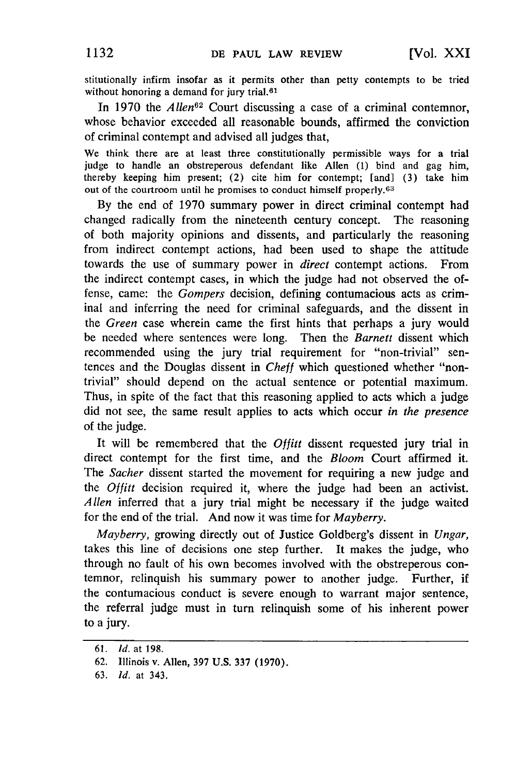stitutionally infirm insofar as it permits other than petty contempts to be tried without honoring a demand for jury trial.<sup>61</sup>

In 1970 the *Allen*<sup>62</sup> Court discussing a case of a criminal contemnor, whose behavior exceeded all reasonable bounds, affirmed the conviction of criminal contempt and advised all judges that,

We think there are at least three constitutionally permissible ways for a trial judge to handle an obstreperous defendant like Allen **(1)** bind and gag him, thereby keeping him present; (2) cite him for contempt; [and] (3) take him out of the courtroom until he promises to conduct himself properly. <sup>63</sup>

**By** the end of 1970 summary power in direct criminal contempt had changed radically from the nineteenth century concept. The reasoning of both majority opinions and dissents, and particularly the reasoning from indirect contempt actions, had been used to shape the attitude towards the use of summary power in *direct* contempt actions. From the indirect contempt cases, in which the judge had not observed the offense, came: the *Gompers* decision, defining contumacious acts as criminal and inferring the need for criminal safeguards, and the dissent in the *Green* case wherein came the first hints that perhaps a jury would be needed where sentences were long. Then the *Barnett* dissent which recommended using the jury trial requirement for "non-trivial" sentences and the Douglas dissent in *Cheff* which questioned whether "nontrivial" should depend on the actual sentence or potential maximum. Thus, in spite of the fact that this reasoning applied to acts which a judge did not see, the same result applies to acts which occur *in the presence* of the judge.

It will be remembered that the *Offitt* dissent requested jury trial in direct contempt for the first time, and the *Bloom* Court affirmed it. The *Sacher* dissent started the movement for requiring a new judge and the *Offitt* decision required it, where the judge had been an activist. *Allen* inferred that a jury trial might be necessary if the judge waited for the end of the trial. And now it was time for *Mayberry.*

*Mayberry,* growing directly out of Justice Goldberg's dissent in *Ungar,* takes this line of decisions one step further. It makes the judge, who through no fault of his own becomes involved with the obstreperous contemnor, relinquish his summary power to another judge. Further, if the contumacious conduct is severe enough to warrant major sentence, the referral judge must in turn relinquish some of his inherent power to a jury.

<sup>61.</sup> **Id.** at 198.

<sup>62.</sup> Illinois v. Allen, 397 U.S. 337 (1970).

<sup>63.</sup> *Id.* at 343.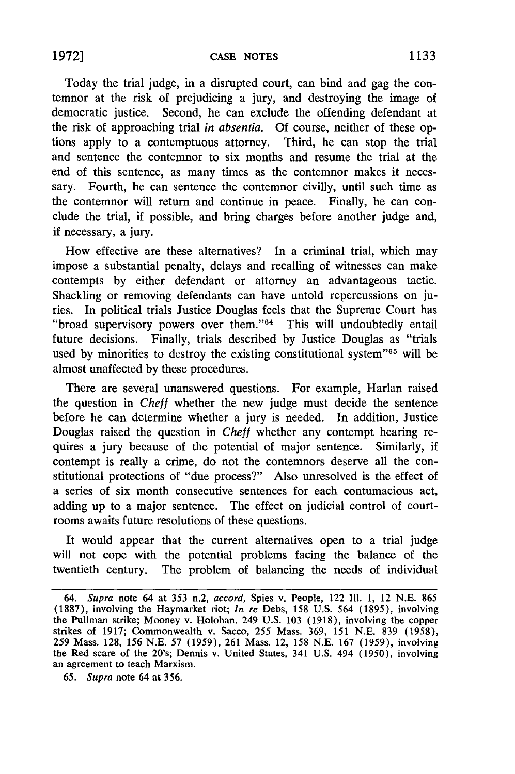Today the trial judge, in a disrupted court, can bind and gag the contemnor at the risk of prejudicing a jury, and destroying the image of democratic justice. Second, he can exclude the offending defendant at the risk of approaching trial *in absentia.* Of course, neither of these options apply to a contemptuous attorney. Third, he can stop the trial and sentence the contemnor to six months and resume the trial at the end of this sentence, as many times as the contemnor makes it necessary. Fourth, he can sentence the contemnor civilly, until such time as the contemnor will return and continue in peace. Finally, he can conclude the trial, if possible, and bring charges before another judge and, if necessary, a jury.

How effective are these alternatives? In a criminal trial, which may impose a substantial penalty, delays and recalling of witnesses can make contempts by either defendant or attorney an advantageous tactic. Shackling or removing defendants can have untold repercussions on juries. In political trials Justice Douglas feels that the Supreme Court has "broad supervisory powers over them."<sup>64</sup> This will undoubtedly entail future decisions. Finally, trials described by Justice Douglas as "trials used by minorities to destroy the existing constitutional system"<sup>65</sup> will be almost unaffected by these procedures.

There are several unanswered questions. For example, Harlan raised the question in *Cheff* whether the new judge must decide the sentence before he can determine whether a jury is needed. In addition, Justice Douglas raised the question in *Cheff* whether any contempt hearing requires a jury because of the potential of major sentence. Similarly, if contempt is really a crime, do not the contemnors deserve all the constitutional protections of "due process?" Also unresolved is the effect of a series of six month consecutive sentences for each contumacious act, adding up to a major sentence. The effect on judicial control of courtrooms awaits future resolutions of these questions.

It would appear that the current alternatives open to a trial judge will not cope with the potential problems facing the balance of the twentieth century. The problem of balancing the needs of individual

*<sup>64.</sup> Supra* note 64 at 353 n.2, *accord,* Spies v. People, 122 **I11. 1,** 12 N.E. 865 (1887), involving the Haymarket riot; *In re* Debs, 158 U.S. 564 (1895), involving the Pullman strike; Mooney v. Holohan, 249 U.S. 103 (1918), involving the copper strikes of 1917; Commonwealth v. Sacco, 255 Mass. 369, 151 N.E. 839 (1958), 259 Mass. 128, 156 N.E. 57 (1959), 261 Mass. 12, 158 N.E. 167 (1959), involving the Red scare of the 20's; Dennis v. United States, 341 U.S. 494 (1950), involving an agreement to teach Marxism.

*<sup>65.</sup> Supra* note 64 at 356.